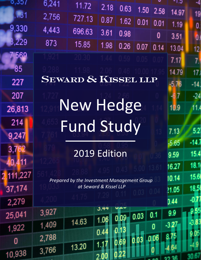| 0,307     | 6,241 | 11.72                                       |                        |                |      |      | - I.J   | -4             |
|-----------|-------|---------------------------------------------|------------------------|----------------|------|------|---------|----------------|
| .731      | 2,756 |                                             | 2.18                   | 0.63           | 1.50 | 2.58 | 14.97   | 19             |
|           |       | 727.13                                      | 0.87                   | 1.62           | 0.01 | 0.01 | 1.19    | 0.             |
| 9,330     | 4,443 | 696.63                                      | 3.61                   | 0.98           |      | 0    | 3.51    | $\mathbf{0}$   |
| 3,229     | 873   | 15.85                                       | 1.98                   | 0.26           | 0.07 | 0.14 | 13.04   | 12             |
| 7569      |       |                                             |                        |                |      |      | 7.17    | 7 <sup>1</sup> |
| 85        |       |                                             |                        |                |      |      | 14.79   | 17.            |
| 227       |       | SEWARD & KISSEL LLP                         |                        |                |      |      | $-5.76$ | $-14$          |
| 207       |       |                                             |                        |                |      |      |         | $-24$          |
| 26,813    |       | New Hedge                                   |                        |                |      |      | 10.9    | 11.            |
| 214       |       | <b>Fund Study</b>                           |                        |                |      |      |         |                |
| 9,247     |       |                                             |                        |                |      |      | 7.13    | 5.2            |
| 3,762     |       |                                             |                        |                |      |      | $-5.65$ | $-14.7$        |
| 40,411    |       | 2019 Edition                                |                        |                |      |      | 9.59    | 15.4           |
|           |       |                                             |                        |                |      |      | 16.27   | 18.1           |
| 2,111,227 |       | Prepared by the Investment Management Group |                        |                |      |      | 10.14   | 15.6           |
| 37,174    |       |                                             | at Seward & Kissel LLP |                |      |      | ?1.05   | 18.5           |
| 2,279     |       |                                             |                        |                |      |      | 0.44    |                |
| 25,041    | 3,927 |                                             | 5.44<br>1.06           | いんい<br>09<br>0 | 0.03 | 0.1  | 9.9     |                |
| 1,922     | 1,409 | 14.63                                       |                        |                |      | 0    | $-3,27$ |                |
| 0         | 2,788 |                                             | 0.44                   |                |      | 0.06 |         |                |
| 10,938    | 3,766 | 13.20                                       | $1.1\,$                |                |      |      |         |                |
|           |       |                                             |                        |                |      |      |         |                |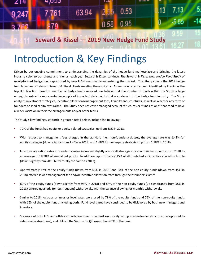| 214   | 4,000                                       |       | $\overline{a}$ |             | <b></b> |                 |         |     |
|-------|---------------------------------------------|-------|----------------|-------------|---------|-----------------|---------|-----|
| 9,247 | 7.761                                       | 63.94 |                | $2.55$ 0.53 |         | $\overline{13}$ | 7 13    |     |
|       |                                             |       |                | $0.58$ 0.95 |         |                 | $-5.65$ | -14 |
|       |                                             |       |                |             |         |                 |         |     |
|       | Seward & Kissel - 2019 New Hedge Fund Study |       |                |             |         |                 |         |     |

# Introduction & Key Findings

Driven by our ongoing commitment to understanding the dynamics of the hedge fund marketplace and bringing the latest industry color to our clients and friends, each year Seward & Kissel conducts *The Seward & Kissel New Hedge Fund Study* of newly-formed hedge funds sponsored by new U.S.-based managers entering the market. This Study covers the 2019 hedge fund launches of relevant Seward & Kissel clients meeting these criteria. As we have recently been identified by Preqin as the top U.S. law firm based on number of hedge funds serviced, we believe that the number of funds within the Study is large enough to extract a representative sample of important data points that are relevant to the hedge fund industry. The Study analyzes investment strategies, incentive allocations/management fees, liquidity and structures, as well as whether any form of founders or seed capital was raised. The Study does not cover managed account structures or "funds of one" that tend to have a wider variation in their fee arrangements and/or other terms.

The Study's key findings, set forth in greater detail below, include the following:

- 70% of the funds had equity or equity-related strategies, up from 63% in 2018.
- With respect to management fees charged in the standard (i.e., non-founders) classes, the average rate was 1.43% for equity strategies (down slightly from 1.44% in 2018) and 1.68% for non-equity strategies (up from 1.58% in 2018).
- Incentive allocation rates in standard classes increased slightly across all strategies by about 26 basis points from 2018 to an average of 18.98% of annual net profits. In addition, approximately 15% of all funds had an incentive allocation hurdle (down slightly from 2018 but virtually the same as 2017).
- Approximately 47% of the equity funds (down from 63% in 2018) and 38% of the non-equity funds (down from 45% in 2018) offered lower management fee and/or incentive allocation rates through their founders classes.
- 89% of the equity funds (down slightly from 95% in 2018) and 88% of the non-equity funds (up significantly from 55% in 2018) offered quarterly (or less frequent) withdrawals, with the balance allowing for monthly withdrawals.
- Similar to 2018, lock-ups or investor level gates were used by 79% of the equity funds and 75% of the non-equity funds, with 16% of the equity funds including both. Fund level gates have continued to be disfavored by both new managers and investors.
- Sponsors of both U.S. and offshore funds continued to almost exclusively set up master-feeder structures (as opposed to side-by-side structures), and utilized the Section  $3(c)(7)$  exemption 67% of the time.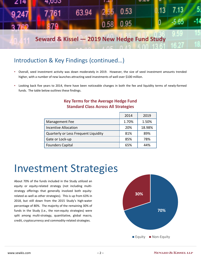

### Introduction & Key Findings (continued…)

- Overall, seed investment activity was down moderately in 2019. However, the size of seed investment amounts trended higher, with a number of new launches attracting seed investments of well over \$100 million.
- Looking back five years to 2014, there have been noticeable changes in both the fee and liquidity terms of newly-formed funds. The table below outlines these findings.

| <b>Key Terms for the Average Hedge Fund</b> |                      |  |  |  |  |  |
|---------------------------------------------|----------------------|--|--|--|--|--|
| <b>Standard Class Across All Strategies</b> |                      |  |  |  |  |  |
|                                             | $\sim$ $\sim$ $\sim$ |  |  |  |  |  |

|                                      | 2014  | 2019   |
|--------------------------------------|-------|--------|
| Management Fee                       | 1.70% | 1.50%  |
| <b>Incentive Allocation</b>          | 20%   | 18.98% |
| Quarterly or Less Frequent Liquidity | 81%   | 89%    |
| Gate or Lock-up                      | 85%   | 78%    |
| <b>Founders Capital</b>              | 65%   | 44%    |

## Investment Strategies

About 70% of the funds included in the Study utilized an equity or equity-related strategy (not including multistrategy offerings that generally involved both equityrelated as well as other strategies). This is up from 63% in 2018, but still down from the 2015 Study's high-water percentage of 80%. The majority of the remaining 30% of funds in the Study (i.e., the non-equity strategies) were split among multi-strategy, quantitative, global macro, credit, cryptocurrency and commodity-related strategies.

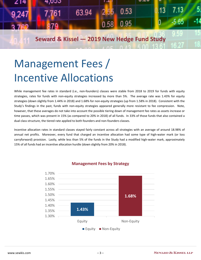

# Management Fees / Incentive Allocations

While management fee rates in standard (i.e., non-founders) classes were stable from 2018 to 2019 for funds with equity strategies, rates for funds with non-equity strategies increased by more than 5%. The average rate was 1.43% for equity strategies (down slightly from 1.44% in 2018) and 1.68% for non-equity strategies (up from 1.58% in 2018). Consistent with the Study's findings in the past, funds with non-equity strategies appeared generally more resistant to fee compression. Note, however, that these averages do not take into account the possible tiering down of management fee rates as assets increase or time passes, which was present in 15% (as compared to 20% in 2018) of all funds. In 33% of those funds that also contained a dual class structure, the tiered rate applied to both founders and non-founders classes.

Incentive allocation rates in standard classes stayed fairly constant across all strategies with an average of around 18.98% of annual net profits. Moreover, every fund that charged an incentive allocation had some type of high-water mark (or loss carryforward) provision. Lastly, while less than 5% of the funds in the Study had a modified high-water mark, approximately 15% of all funds had an incentive allocation hurdle (down slightly from 20% in 2018).



#### **Management Fees by Strategy**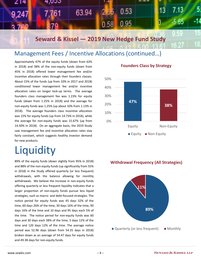

### Management Fees / Incentive Allocations (continued…)

Approximately 47% of the equity funds (down from 63% in 2018) and 38% of the non-equity funds (down from 45% in 2018) offered lower management fee and/or incentive allocation rates through their founders classes. About 15% of the funds (up from 10% in 2017 and 2018) conditioned lower management fee and/or incentive allocation rates on longer lock-up terms. The average founders class management fee was 1.23% for equity funds (down from 1.25% in 2018) and the average for non-equity funds was 1.25% (up about 10% from 1.13% in 2018). The average founders class incentive allocation was 15% for equity funds (up from 14.73% in 2018), while the average for non-equity funds was 15.67% (up from 14.50% in 2018). On an aggregate basis, the 2019 Study saw management fee and incentive allocation rates stay fairly constant, which suggests healthy investor demand for new products.

# **Liquidity**

89% of the equity funds (down slightly from 95% in 2018) and 88% of the non-equity funds (up significantly from 55% in 2018) in the Study offered quarterly (or less frequent) withdrawals, with the balance allowing for monthly withdrawals. We believe the increase in non-equity funds offering quarterly or less frequent liquidity indicates that a larger proportion of non-equity funds pursue less liquid strategies, such as macro- and debt-focused strategies. The notice period for equity funds was 45 days 32% of the time, 60 days 26% of the time, 30 days 16% of the time, 90 days 16% of the time and 10 days and 95 days each 5% of the time. The notice period for non-equity funds was 60 days and 30 days each 38% of the time, 5 days 12% of the time and 120 days 12% of the time. The average notice period was 52.96 days (down from 54.35 days in 2018) broken down as an average of 54.47 days for equity funds and 49.38 days for non-equity funds.



#### **Founders Class by Strategy**

#### **Withdrawal Frequency (All Strategies)**

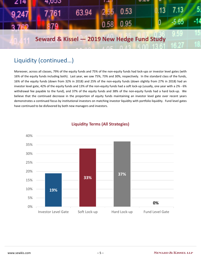| 214   | 4,000                                       |       | $\overline{a}$ |      | <b></b> |      |     |
|-------|---------------------------------------------|-------|----------------|------|---------|------|-----|
| 9,247 | 7.761                                       | 63.94 | $2.55 -$       | 0.53 |         | 7 13 |     |
|       |                                             |       | 0.58           | 0.95 |         | 5.65 | -14 |
|       |                                             |       |                |      |         |      |     |
|       | Seward & Kissel - 2019 New Hedge Fund Study |       |                |      |         |      |     |
|       |                                             |       |                |      |         |      |     |

### Liquidity (continued…)

Moreover, across all classes, 79% of the equity funds and 75% of the non-equity funds had lock-ups or investor level gates (with 16% of the equity funds including both). Last year, we saw 75%, 73% and 30%, respectively. In the standard class of the funds, 16% of the equity funds (down from 32% in 2018) and 25% of the non-equity funds (down slightly from 27% in 2018) had an investor level gate, 42% of the equity funds and 13% of the non-equity funds had a soft lock-up (usually, one year with a 2% - 6% withdrawal fee payable to the fund), and 37% of the equity funds and 38% of the non-equity funds had a hard lock-up. We believe that the continued decrease in the proportion of equity funds maintaining an investor level gate over recent years demonstrates a continued focus by institutional investors on matching investor liquidity with portfolio liquidity. Fund level gates have continued to be disfavored by both new managers and investors.



#### **Liquidity Terms (All Strategies)**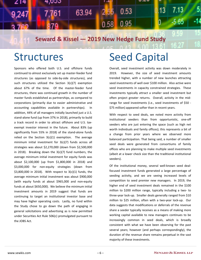

**Seward & Kissel — 2019 New Hedge Fund Study**

## **Structures**

Sponsors who offered both U.S. and offshore funds continued to almost exclusively set up master-feeder fund structures (as opposed to side-by-side structures), and such structures utilized the Section 3(c)(7) exemption about 67% of the time. Of the master-feeder fund structures, there was continued growth in the number of master funds established as partnerships, as compared to corporations (primarily due to easier administrative and accounting capabilities available in partnerships). In addition, 44% of all managers initially launched just a U.S. stand-alone fund (up from 37% in 2018), primarily to build a track record in order to attract offshore and U.S. taxexempt investor interest in the future. About 83% (up significantly from 55% in 2018) of the stand-alone funds relied on the Section  $3(c)(1)$  exemption. The average minimum initial investment for 3(c)(7) funds across all strategies was about \$2,270,000 (down from \$2,500,000 in 2018). Breaking down the 3(c)(7) fund numbers, the average minimum initial investment for equity funds was about \$2,100,000 (up from \$1,800,000 in 2018) and \$3,000,000 for non-equity strategies (down from \$3,800,000 in 2018). With respect to 3(c)(1) funds, the average minimum initial investment was about \$900,000 (with equity funds at about \$965,000 and non-equity funds at about \$650,000). We believe the minimum initial investment amounts in 2019 suggest that funds are continuing to target an institutional investor base and may have higher operating costs. Lastly, no fund within the Study chose to go down the path of engaging in general solicitations and advertising as is now permitted under Securities Act Rule 506(c) promulgated pursuant to the JOBS Act.

## Seed Capital

Overall, seed investment activity was down moderately in 2019. However, the size of seed investment amounts trended higher, with a number of new launches attracting seed investments of well over \$100 million. Also active were seed investments in capacity constrained strategies. These investments typically attract a smaller seed investment but often project greater returns. Overall, activity in the midrange for seed investments (i.e., seed investments of \$50 - \$75 million) appeared softer than in recent years.

With respect to seed deals, we noted more activity from institutional seeders than from opportunistic, one-off seeders who are just entering the space (such as high net worth individuals and family offices); this represents a bit of a change from prior years where we observed more balanced participation. That being said, a number of smaller seed deals were generated from consortiums of family offices who are planning to make multiple seed investments (albeit at a lower check size than the traditional institutional seeders).

Of the institutional money, several well-known seed dealfocused investment funds generated a large percentage of seeding activity, and we are seeing increased levels of competition to seed premier new managers. In 2019, the higher end of seed investment deals remained in the \$100 million to \$200 million range, typically including a two- to three-year lock-up. Smaller deals generally ranged from \$10 million to \$25 million, often with a two-year lock-up. Our data suggests that modifications or deferrals of the revenue share a seeder typically receives as a means of making more working capital available to new managers continues to be increasingly common in seed deals, which is broadly consistent with what we have been observing for the past several years; however (and perhaps correspondingly), the duration of the revenue share remains perpetual in the vast majority of these investments.